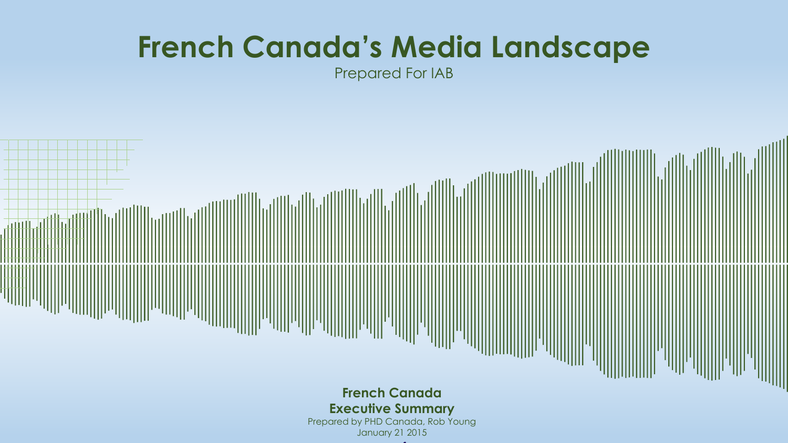# **French Canada's Media Landscape**

Prepared For IAB

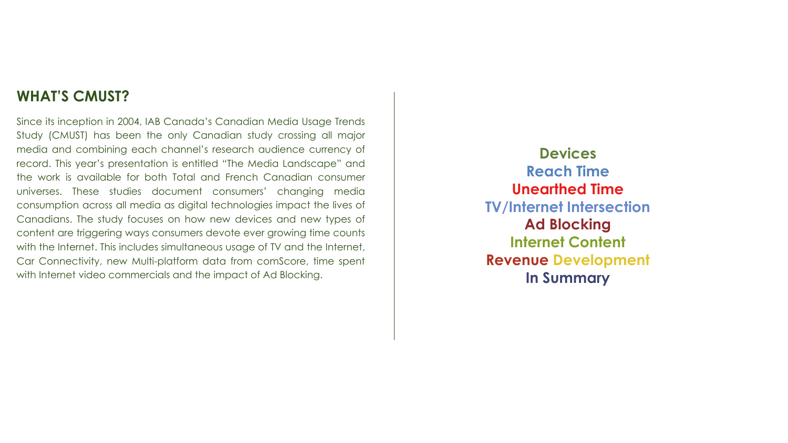#### **WHAT'S CMUST?**

Since its inception in 2004, IAB Canada's Canadian Media Usage Trends Study (CMUST) has been the only Canadian study crossing all major media and combining each channel's research audience currency of record. This year's presentation is entitled "The Media Landscape" and the work is available for both Total and French Canadian consumer universes. These studies document consumers' changing media consumption across all media as digital technologies impact the lives of Canadians. The study focuses on how new devices and new types of content are triggering ways consumers devote ever growing time counts with the Internet. This includes simultaneous usage of TV and the Internet, Car Connectivity, new Multi-platform data from comScore, time spent with Internet video commercials and the impact of Ad Blocking.

**Devices Reach Time Unearthed Time TV/Internet Intersection Ad Blocking Internet Content Revenue Development In Summary**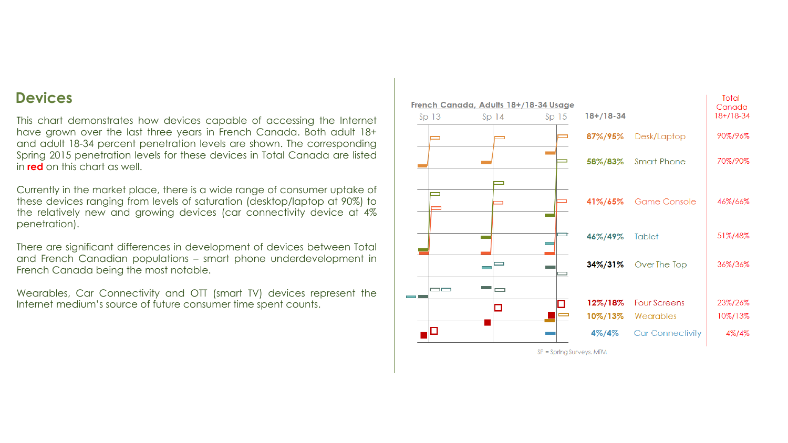#### **Devices**

This chart demonstrates how devices capable of accessing the Internet have grown over the last three years in French Canada. Both adult 18+ and adult 18-34 percent penetration levels are shown. The corresponding Spring 2015 penetration levels for these devices in Total Canada are listed in **red** on this chart as well.

Currently in the market place, there is a wide range of consumer uptake of these devices ranging from levels of saturation (desktop/laptop at 90%) to the relatively new and growing devices (car connectivity device at 4% penetration).

There are significant differences in development of devices between Total and French Canadian populations – smart phone underdevelopment in French Canada being the most notable.

Wearables, Car Connectivity and OTT (smart TV) devices represent the Internet medium's source of future consumer time spent counts.



 $SP =$  Spring Surveys, MTM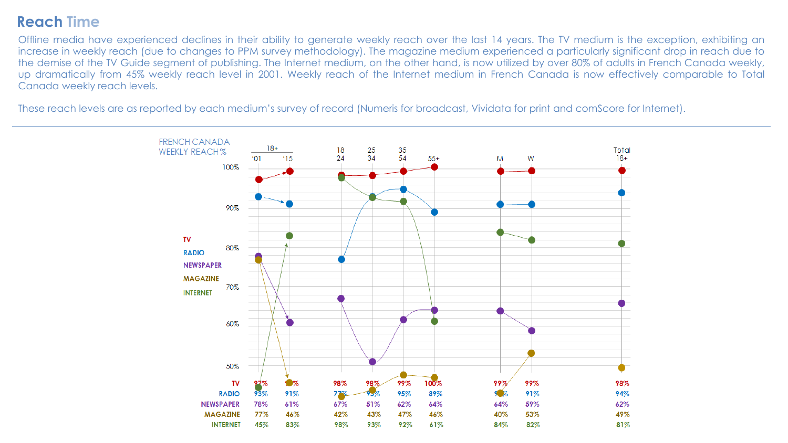## **Reach Time**

Offline media have experienced declines in their ability to generate weekly reach over the last 14 years. The TV medium is the exception, exhibiting an increase in weekly reach (due to changes to PPM survey methodology). The magazine medium experienced a particularly significant drop in reach due to the demise of the TV Guide segment of publishing. The Internet medium, on the other hand, is now utilized by over 80% of adults in French Canada weekly, up dramatically from 45% weekly reach level in 2001. Weekly reach of the Internet medium in French Canada is now effectively comparable to Total Canada weekly reach levels.

These reach levels are as reported by each medium's survey of record (Numeris for broadcast, Vividata for print and comScore for Internet).

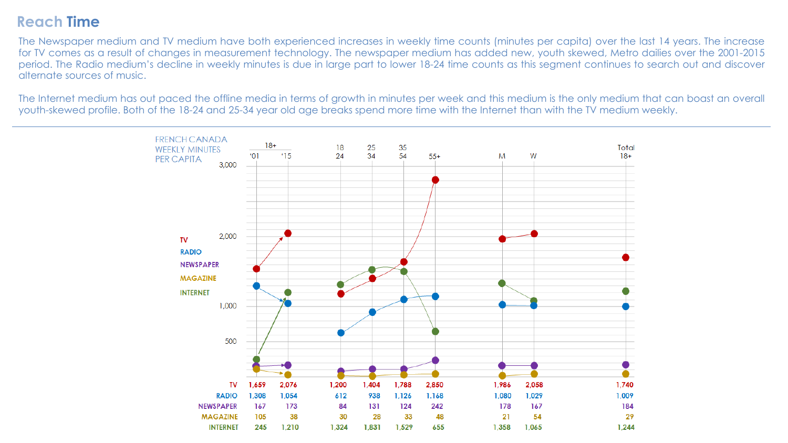## **Reach Time**

The Newspaper medium and TV medium have both experienced increases in weekly time counts (minutes per capita) over the last 14 years. The increase for TV comes as a result of changes in measurement technology. The newspaper medium has added new, youth skewed, Metro dailies over the 2001-2015 period. The Radio medium's decline in weekly minutes is due in large part to lower 18-24 time counts as this segment continues to search out and discover alternate sources of music.

The Internet medium has out paced the offline media in terms of growth in minutes per week and this medium is the only medium that can boast an overall youth-skewed profile. Both of the 18-24 and 25-34 year old age breaks spend more time with the Internet than with the TV medium weekly.

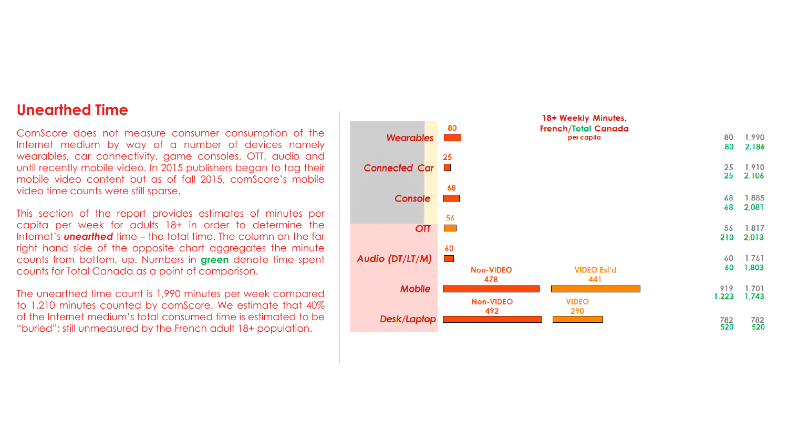#### **Unearthed Time**

ComScore does not measure consumer consumption of the Internet medium by way of a number of devices namely wearables, car connectivity, game consoles, OTT, audio and until recently mobile video. In 2015 publishers began to tag their mobile video content but as of fall 2015, comScore's mobile video time counts were still sparse.

This section of the report provides estimates of minutes per capita per week for adults 18+ in order to determine the Internet's *unearthed* time – the total time. The column on the far right hand side of the opposite chart aggregates the minute counts from bottom, up. Numbers in **green** denote time spent counts for Total Canada as a point of comparison.

The unearthed time count is 1,990 minutes per week compared to 1,210 minutes counted by comScore. We estimate that 40% of the Internet medium's total consumed time is estimated to be "buried"; still unmeasured by the French adult 18+ population.

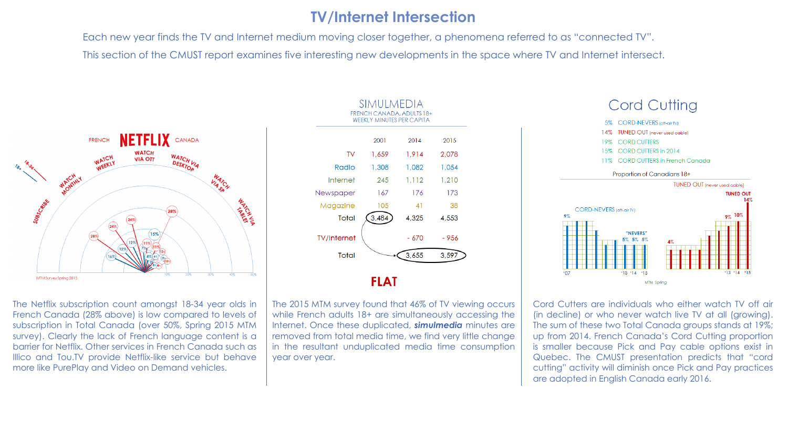## **TV/Internet Intersection**

Each new year finds the TV and Internet medium moving closer together, a phenomena referred to as "connected TV". This section of the CMUST report examines five interesting new developments in the space where TV and Internet intersect.



The Netflix subscription count amongst 18-34 year olds in French Canada (28% above) is low compared to levels of subscription in Total Canada (over 50%, Spring 2015 MTM survey). Clearly the lack of French language content is a barrier for Netflix. Other services in French Canada such as Illico and Tou.TV provide Netflix-like service but behave more like PurePlay and Video on Demand vehicles.



The 2015 MTM survey found that 46% of TV viewing occurs while French adults 18+ are simultaneously accessing the Internet. Once these duplicated, *simulmedia* minutes are removed from total media time, we find very little change in the resultant unduplicated media time consumption year over year.



Cord Cutters are individuals who either watch TV off air (in decline) or who never watch live TV at all (growing). The sum of these two Total Canada groups stands at 19%; up from 2014. French Canada's Cord Cutting proportion is smaller because Pick and Pay cable options exist in Quebec. The CMUST presentation predicts that "cord cutting" activity will diminish once Pick and Pay practices are adopted in English Canada early 2016.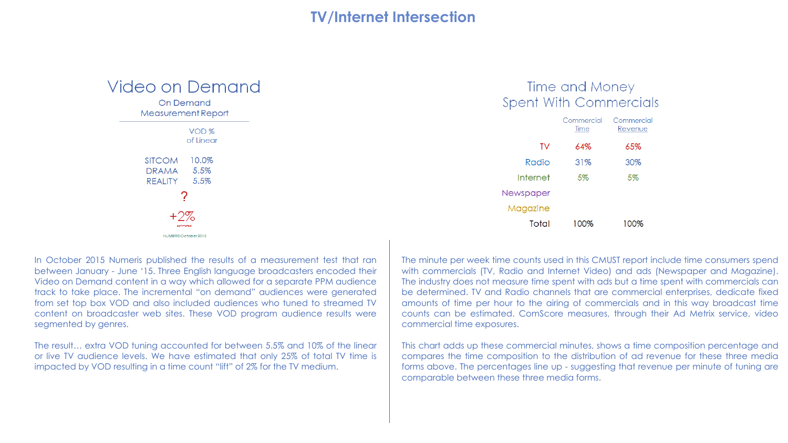## **TV/Internet Intersection**

| Video on Demanc                        |  |  |  |  |  |  |
|----------------------------------------|--|--|--|--|--|--|
| <b>On Demand</b><br>Measurement Report |  |  |  |  |  |  |
| VOD <sub>%</sub>                       |  |  |  |  |  |  |
| of Linear                              |  |  |  |  |  |  |
| SITCOM 10.0%<br>DRAMA 5.5%             |  |  |  |  |  |  |
| REALITY 5.5%                           |  |  |  |  |  |  |
| 7                                      |  |  |  |  |  |  |
| $+2\%$<br>estimated                    |  |  |  |  |  |  |
| NUMERIS October 2015                   |  |  |  |  |  |  |

#### Time and Money **Spent With Commercials**

|           | Commercial<br>Time | Commercia<br>Revenue |
|-----------|--------------------|----------------------|
| TV        | 64%                | 65%                  |
| Radio     | 31%                | 30%                  |
| Internet  | 5%                 | 5%                   |
| Newspaper |                    |                      |
| Magazine  |                    |                      |
| Total     | 100%               | 100%                 |

In October 2015 Numeris published the results of a measurement test that ran between January - June '15. Three English language broadcasters encoded their Video on Demand content in a way which allowed for a separate PPM audience track to take place. The incremental "on demand" audiences were generated from set top box VOD and also included audiences who tuned to streamed TV content on broadcaster web sites. These VOD program audience results were segmented by genres.

The result… extra VOD tuning accounted for between 5.5% and 10% of the linear or live TV audience levels. We have estimated that only 25% of total TV time is impacted by VOD resulting in a time count "lift" of 2% for the TV medium.

The minute per week time counts used in this CMUST report include time consumers spend with commercials (TV, Radio and Internet Video) and ads (Newspaper and Magazine). The industry does not measure time spent with ads but a time spent with commercials can be determined. TV and Radio channels that are commercial enterprises, dedicate fixed amounts of time per hour to the airing of commercials and in this way broadcast time counts can be estimated. ComScore measures, through their Ad Metrix service, video commercial time exposures.

This chart adds up these commercial minutes, shows a time composition percentage and compares the time composition to the distribution of ad revenue for these three media forms above. The percentages line up - suggesting that revenue per minute of tuning are comparable between these three media forms.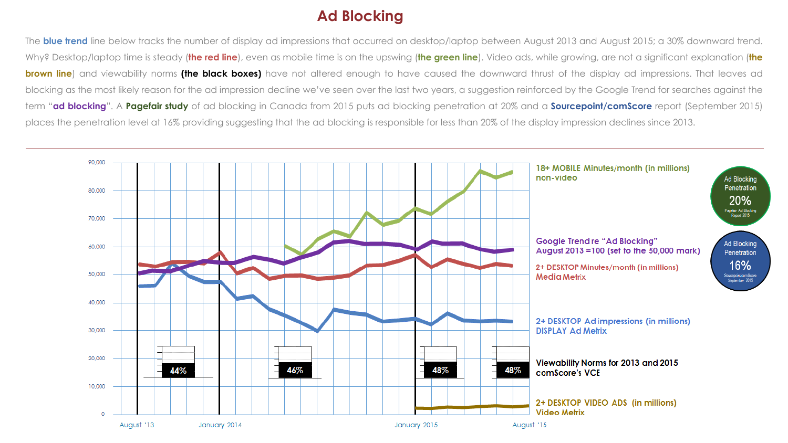## **Ad Blocking**

The **blue trend** line below tracks the number of display ad impressions that occurred on desktop/laptop between August 2013 and August 2015; a 30% downward trend. Why? Desktop/laptop time is steady (**the red line**), even as mobile time is on the upswing (**the green line**). Video ads, while growing, are not a significant explanation (**the brown line**) and viewability norms **(the black boxes)** have not altered enough to have caused the downward thrust of the display ad impressions. That leaves ad blocking as the most likely reason for the ad impression decline we've seen over the last two years, a suggestion reinforced by the Google Trend for searches against the term "**ad blocking**". A **Pagefair study** of ad blocking in Canada from 2015 puts ad blocking penetration at 20% and a **Sourcepoint/comScore** report (September 2015) places the penetration level at 16% providing suggesting that the ad blocking is responsible for less than 20% of the display impression declines since 2013.

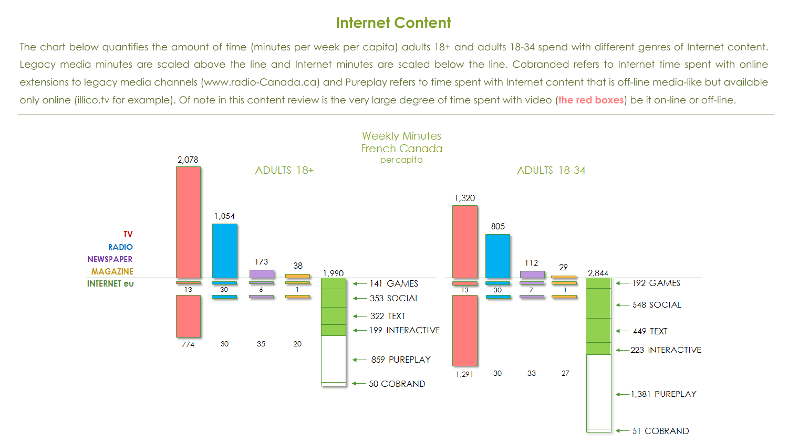## **Internet Content**

The chart below quantifies the amount of time (minutes per week per capita) adults 18+ and adults 18-34 spend with different genres of Internet content. Legacy media minutes are scaled above the line and Internet minutes are scaled below the line. Cobranded refers to Internet time spent with online extensions to legacy media channels (www.radio-Canada.ca) and Pureplay refers to time spent with Internet content that is off-line media-like but available only online (illico.tv for example). Of note in this content review is the very large degree of time spent with video (**the red boxes**) be it on-line or off-line.

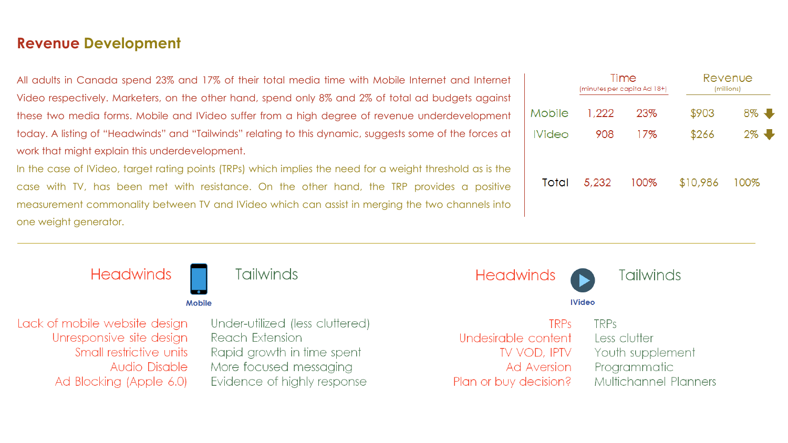### **Revenue Development**

All adults in Canada spend 23% and 17% of their total media time with Mobile Internet and Internet Video respectively. Marketers, on the other hand, spend only 8% and 2% of total ad budgets against these two media forms. Mobile and IVideo suffer from a high degree of revenue underdevelopment today. A listing of "Headwinds" and "Tailwinds" relating to this dynamic, suggests some of the forces at work that might explain this underdevelopment.

In the case of IVideo, target rating points (TRPs) which implies the need for a weight threshold as is the case with TV, has been met with resistance. On the other hand, the TRP provides a positive measurement commonality between TV and IVideo which can assist in merging the two channels into one weight generator.



|               | Time<br>(minutes per capita Ad 18+) |      | Revenue<br>(millions) |      |
|---------------|-------------------------------------|------|-----------------------|------|
| Mobile        | 1,222                               | 23%  | \$903                 | 8%   |
| <b>IVideo</b> | 908                                 | 17%  | \$266                 | 2%   |
| Total         | 5,232                               | 100% | \$10,986              | 100% |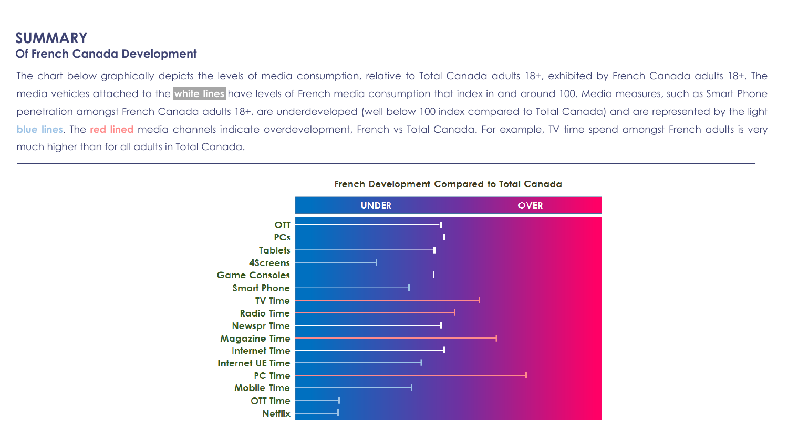#### **SUMMARY Of French Canada Development**

The chart below graphically depicts the levels of media consumption, relative to Total Canada adults 18+, exhibited by French Canada adults 18+. The media vehicles attached to the **white lines** have levels of French media consumption that index in and around 100. Media measures, such as Smart Phone penetration amongst French Canada adults 18+, are underdeveloped (well below 100 index compared to Total Canada) and are represented by the light **blue lines.** The red lined media channels indicate overdevelopment, French vs Total Canada. For example, TV time spend amongst French adults is very much higher than for all adults in Total Canada.



#### French Development Compared to Total Canada